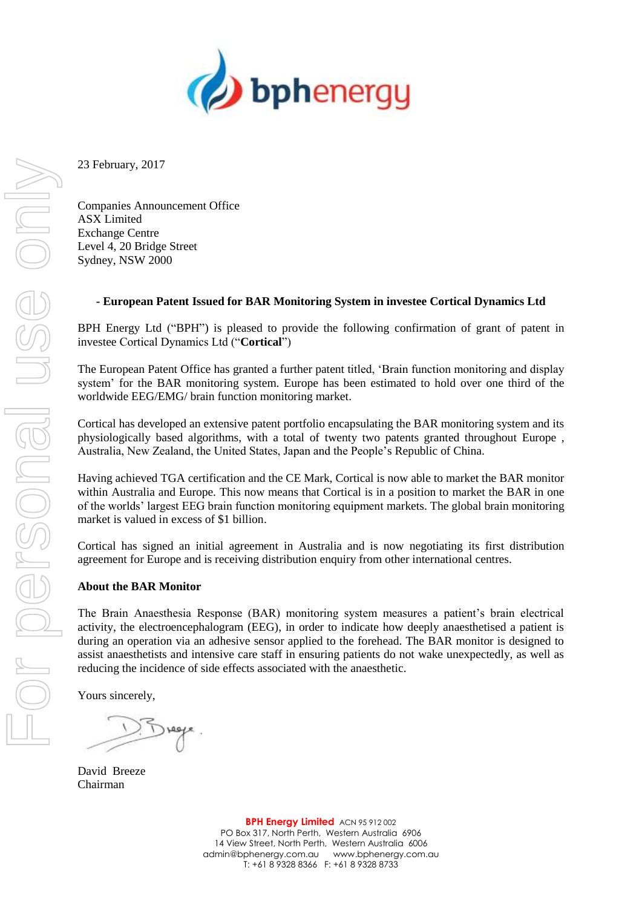

23 February, 2017

Companies Announcement Office ASX Limited Exchange Centre Level 4, 20 Bridge Street Sydney, NSW 2000

## **- European Patent Issued for BAR Monitoring System in investee Cortical Dynamics Ltd**

BPH Energy Ltd ("BPH") is pleased to provide the following confirmation of grant of patent in investee Cortical Dynamics Ltd ("**Cortical**")

The European Patent Office has granted a further patent titled, 'Brain function monitoring and display system' for the BAR monitoring system. Europe has been estimated to hold over one third of the worldwide EEG/EMG/ brain function monitoring market.

Cortical has developed an extensive patent portfolio encapsulating the BAR monitoring system and its physiologically based algorithms, with a total of twenty two patents granted throughout Europe , Australia, New Zealand, the United States, Japan and the People's Republic of China.

Having achieved TGA certification and the CE Mark, Cortical is now able to market the BAR monitor within Australia and Europe. This now means that Cortical is in a position to market the BAR in one of the worlds' largest EEG brain function monitoring equipment markets. The global brain monitoring market is valued in excess of \$1 billion.

Cortical has signed an initial agreement in Australia and is now negotiating its first distribution agreement for Europe and is receiving distribution enquiry from other international centres.

## **About the BAR Monitor**

The Brain Anaesthesia Response (BAR) monitoring system measures a patient's brain electrical activity, the electroencephalogram (EEG), in order to indicate how deeply anaesthetised a patient is during an operation via an adhesive sensor applied to the forehead. The BAR monitor is designed to assist anaesthetists and intensive care staff in ensuring patients do not wake unexpectedly, as well as reducing the incidence of side effects associated with the anaesthetic.

Yours sincerely,

David Breeze Chairman

**BPH Energy Limited** ACN 95 912 002 PO Box 317, North Perth, Western Australia 6906 14 View Street, North Perth, Western Australia 6006 admin@bphenergy.com.au www.bphenergy.com.au T: +61 8 9328 8366 F: +61 8 9328 8733